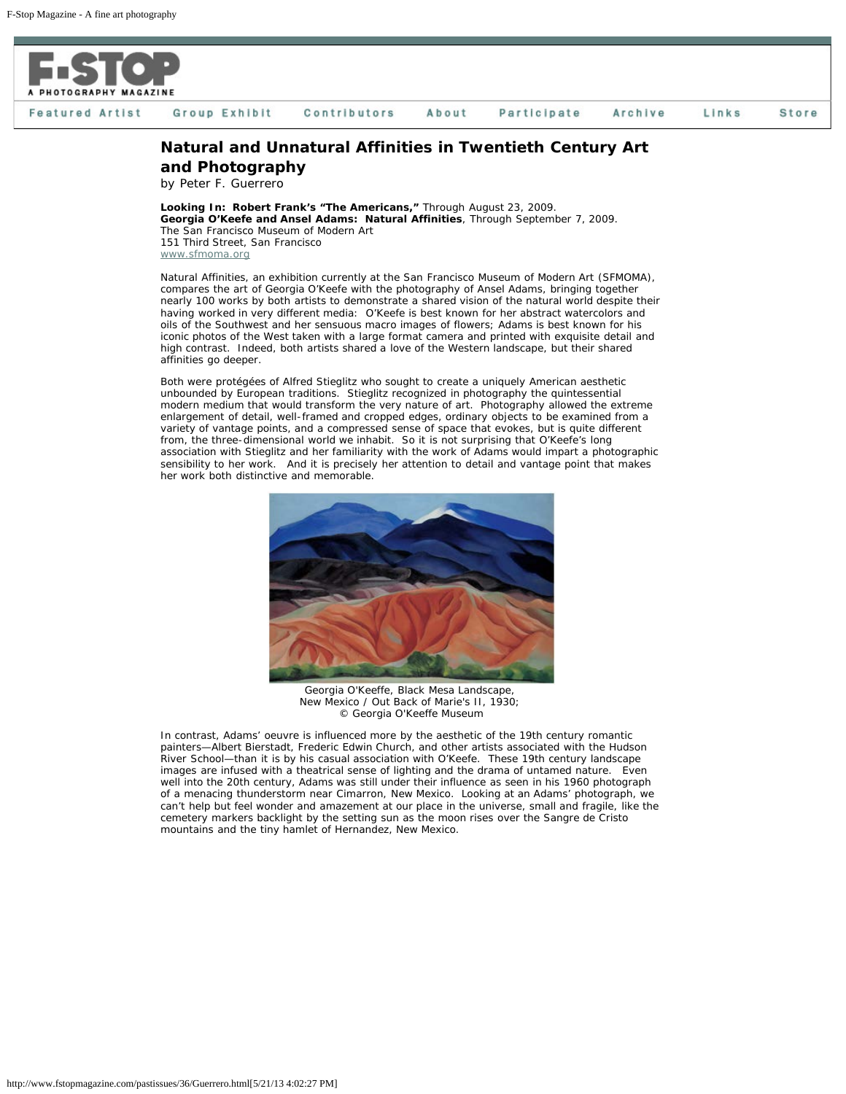

Group Exhibit

About Participate Archive Links **Store** 

## **Natural and Unnatural Affinities in Twentieth Century Art and Photography**

by Peter F. Guerrero

*Looking In: Robert Frank's "The Americans,"* Through August 23, 2009. *Georgia O'Keefe and Ansel Adams: Natural Affinities*, Through September 7, 2009. The San Francisco Museum of Modern Art 151 Third Street, San Francisco [www.sfmoma.org](http://www.sfmoma.org/)

Contributors

*Natural Affinities,* an exhibition currently at the San Francisco Museum of Modern Art (SFMOMA), compares the art of Georgia O'Keefe with the photography of Ansel Adams, bringing together nearly 100 works by both artists to demonstrate a shared vision of the natural world despite their having worked in very different media: O'Keefe is best known for her abstract watercolors and oils of the Southwest and her sensuous macro images of flowers; Adams is best known for his iconic photos of the West taken with a large format camera and printed with exquisite detail and high contrast. Indeed, both artists shared a love of the Western landscape, but their shared affinities go deeper.

Both were protégées of Alfred Stieglitz who sought to create a uniquely American aesthetic unbounded by European traditions. Stieglitz recognized in photography the quintessential modern medium that would transform the very nature of art. Photography allowed the extreme enlargement of detail, well-framed and cropped edges, ordinary objects to be examined from a variety of vantage points, and a compressed sense of space that evokes, but is quite different from, the three-dimensional world we inhabit. So it is not surprising that O'Keefe's long association with Stieglitz and her familiarity with the work of Adams would impart a photographic sensibility to her work. And it is precisely her attention to detail and vantage point that makes her work both distinctive and memorable.



Georgia O'Keeffe, Black Mesa Landscape, New Mexico / Out Back of Marie's II, 1930; © Georgia O'Keeffe Museum

In contrast, Adams' oeuvre is influenced more by the aesthetic of the 19th century romantic painters—Albert Bierstadt, Frederic Edwin Church, and other artists associated with the Hudson River School—than it is by his casual association with O'Keefe. These 19th century landscape images are infused with a theatrical sense of lighting and the drama of untamed nature. Even well into the 20th century, Adams was still under their influence as seen in his 1960 photograph of a menacing thunderstorm near Cimarron, New Mexico. Looking at an Adams' photograph, we can't help but feel wonder and amazement at our place in the universe, small and fragile, like the cemetery markers backlight by the setting sun as the moon rises over the Sangre de Cristo mountains and the tiny hamlet of Hernandez, New Mexico.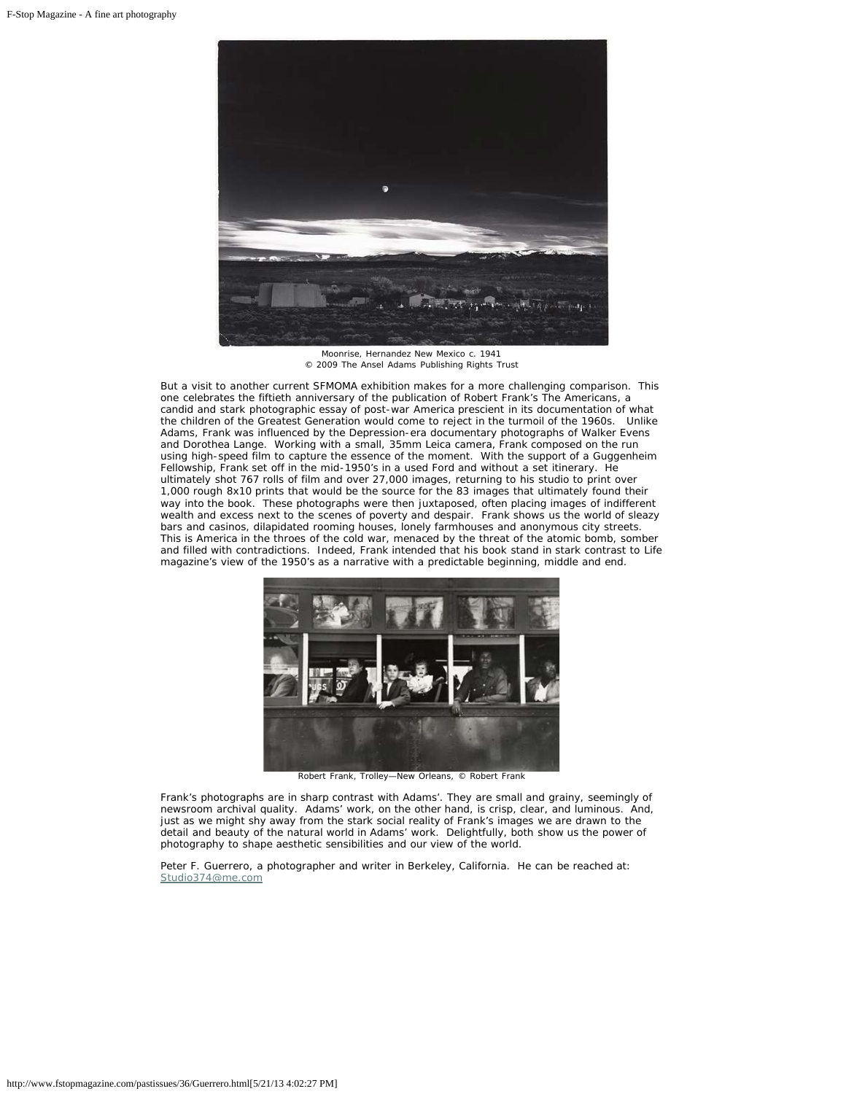

Moonrise, Hernandez New Mexico c. 1941 © 2009 The Ansel Adams Publishing Rights Trust

But a visit to another current SFMOMA exhibition makes for a more challenging comparison. This one celebrates the fiftieth anniversary of the publication of Robert Frank's *The Americans*, a candid and stark photographic essay of post-war America prescient in its documentation of what the children of the Greatest Generation would come to reject in the turmoil of the 1960s. Unlike Adams, Frank was influenced by the Depression-era documentary photographs of Walker Evens and Dorothea Lange. Working with a small, 35mm Leica camera, Frank composed on the run using high-speed film to capture the essence of the moment. With the support of a Guggenheim Fellowship, Frank set off in the mid-1950's in a used Ford and without a set itinerary. He ultimately shot 767 rolls of film and over 27,000 images, returning to his studio to print over 1,000 rough 8x10 prints that would be the source for the 83 images that ultimately found their way into the book. These photographs were then juxtaposed, often placing images of indifferent wealth and excess next to the scenes of poverty and despair. Frank shows us the world of sleazy bars and casinos, dilapidated rooming houses, lonely farmhouses and anonymous city streets. This is America in the throes of the cold war, menaced by the threat of the atomic bomb, somber and filled with contradictions. Indeed, Frank intended that his book stand in stark contrast to *Life* magazine's view of the 1950's as a narrative with a predictable beginning, middle and end.



Robert Frank, Trolley—New Orleans, © Robert Frank

Frank's photographs are in sharp contrast with Adams'. They are small and grainy, seemingly of newsroom archival quality. Adams' work, on the other hand, is crisp, clear, and luminous. And, just as we might shy away from the stark social reality of Frank's images we are drawn to the detail and beauty of the natural world in Adams' work. Delightfully, both show us the power of photography to shape aesthetic sensibilities and our view of the world.

Peter F. Guerrero, a photographer and writer in Berkeley, California. He can be reached at: [Studio374@me.com](mailto:Studio374@me.com)